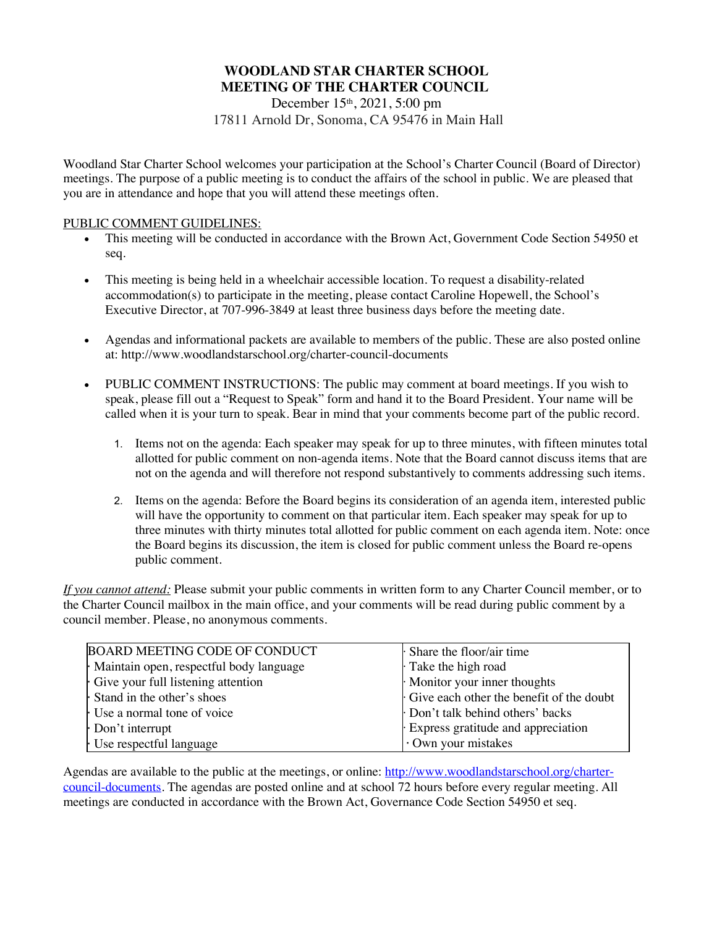# **WOODLAND STAR CHARTER SCHOOL MEETING OF THE CHARTER COUNCIL**

December 15<sup>th</sup>, 2021, 5:00 pm 17811 Arnold Dr, Sonoma, CA 95476 in Main Hall

Woodland Star Charter School welcomes your participation at the School's Charter Council (Board of Director) meetings. The purpose of a public meeting is to conduct the affairs of the school in public. We are pleased that you are in attendance and hope that you will attend these meetings often.

## PUBLIC COMMENT GUIDELINES:

- This meeting will be conducted in accordance with the Brown Act, Government Code Section 54950 et seq.
- This meeting is being held in a wheelchair accessible location. To request a disability-related accommodation(s) to participate in the meeting, please contact Caroline Hopewell, the School's Executive Director, at 707-996-3849 at least three business days before the meeting date.
- Agendas and informational packets are available to members of the public. These are also posted online at: http://www.woodlandstarschool.org/charter-council-documents
- PUBLIC COMMENT INSTRUCTIONS: The public may comment at board meetings. If you wish to speak, please fill out a "Request to Speak" form and hand it to the Board President. Your name will be called when it is your turn to speak. Bear in mind that your comments become part of the public record.
	- 1. Items not on the agenda: Each speaker may speak for up to three minutes, with fifteen minutes total allotted for public comment on non-agenda items. Note that the Board cannot discuss items that are not on the agenda and will therefore not respond substantively to comments addressing such items.
	- 2. Items on the agenda: Before the Board begins its consideration of an agenda item, interested public will have the opportunity to comment on that particular item. Each speaker may speak for up to three minutes with thirty minutes total allotted for public comment on each agenda item. Note: once the Board begins its discussion, the item is closed for public comment unless the Board re-opens public comment.

*If you cannot attend:* Please submit your public comments in written form to any Charter Council member, or to the Charter Council mailbox in the main office, and your comments will be read during public comment by a council member. Please, no anonymous comments.

| <b>BOARD MEETING CODE OF CONDUCT</b>    | $\cdot$ Share the floor/air time         |
|-----------------------------------------|------------------------------------------|
| Maintain open, respectful body language | Take the high road                       |
| Give your full listening attention      | Monitor your inner thoughts              |
| Stand in the other's shoes              | Give each other the benefit of the doubt |
| Use a normal tone of voice              | Don't talk behind others' backs          |
| Don't interrupt                         | Express gratitude and appreciation       |
| Use respectful language                 | Own your mistakes                        |

Agendas are available to the public at the meetings, or online: http://www.woodlandstarschool.org/chartercouncil-documents. The agendas are posted online and at school 72 hours before every regular meeting. All meetings are conducted in accordance with the Brown Act, Governance Code Section 54950 et seq.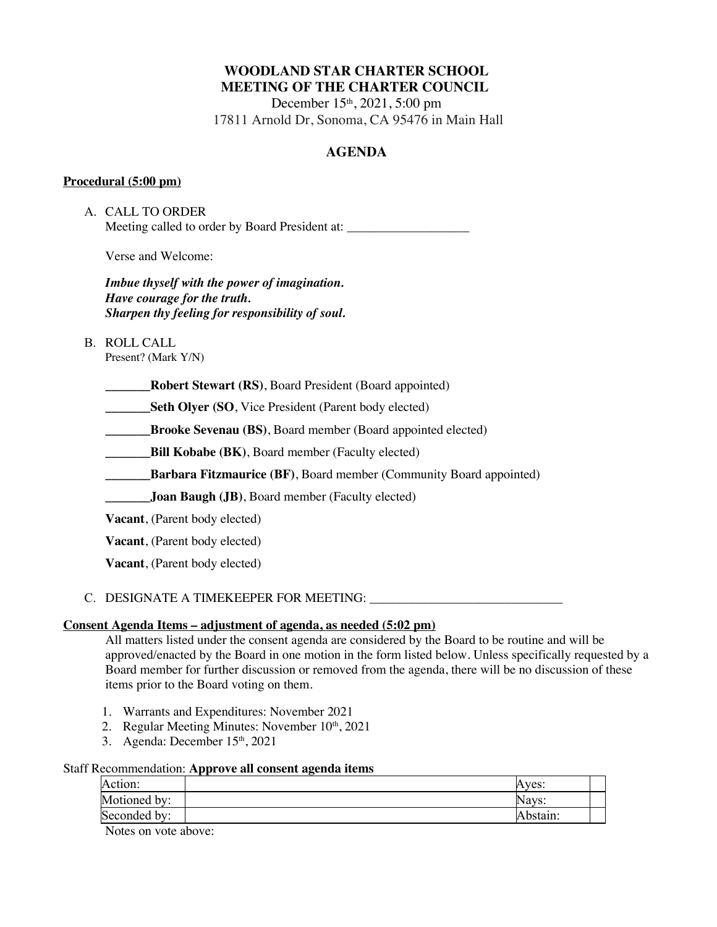# **WOODLAND STAR CHARTER SCHOOL MEETING OF THE CHARTER COUNCIL**

December 15<sup>th</sup>, 2021, 5:00 pm 17811 Arnold Dr, Sonoma, CA 95476 in Main Hall

# **AGENDA**

## **Procedural (5:00 pm)**

A. CALL TO ORDER Meeting called to order by Board President at:

Verse and Welcome:

*Imbue thyself with the power of imagination. Have courage for the truth. Sharpen thy feeling for responsibility of soul.*

B. ROLL CALL

Present? (Mark Y/N)

**\_\_\_\_\_\_\_Robert Stewart (RS)**, Board President (Board appointed)

**Seth Olyer (SO, Vice President (Parent body elected)** 

**Brooke Sevenau (BS)**, Board member (Board appointed elected)

**EXECUTE:** Bill **Kobabe (BK)**, Board member (Faculty elected)

**\_\_\_\_\_\_\_\_\_Barbara Fitzmaurice** (BF), Board member (Community Board appointed)

**\_\_\_\_\_\_\_Joan Baugh (JB)**, Board member (Faculty elected)

**Vacant**, (Parent body elected)

**Vacant**, (Parent body elected)

**Vacant**, (Parent body elected)

## C. DESIGNATE A TIMEKEEPER FOR MEETING: \_\_\_\_\_\_\_\_\_\_\_\_\_\_\_\_\_\_\_\_\_\_\_\_\_\_\_\_\_\_

## **Consent Agenda Items – adjustment of agenda, as needed (5:02 pm)**

All matters listed under the consent agenda are considered by the Board to be routine and will be approved/enacted by the Board in one motion in the form listed below. Unless specifically requested by a Board member for further discussion or removed from the agenda, there will be no discussion of these items prior to the Board voting on them.

- 1. Warrants and Expenditures: November 2021
- 2. Regular Meeting Minutes: November  $10<sup>th</sup>$ , 2021
- 3. Agenda: December 15<sup>th</sup>, 2021

## Staff Recommendation: **Approve all consent agenda items**

| Action:      | Aves:    |  |
|--------------|----------|--|
| Motioned by: | Navs:    |  |
| Seconded by: | Abstain: |  |

Notes on vote above: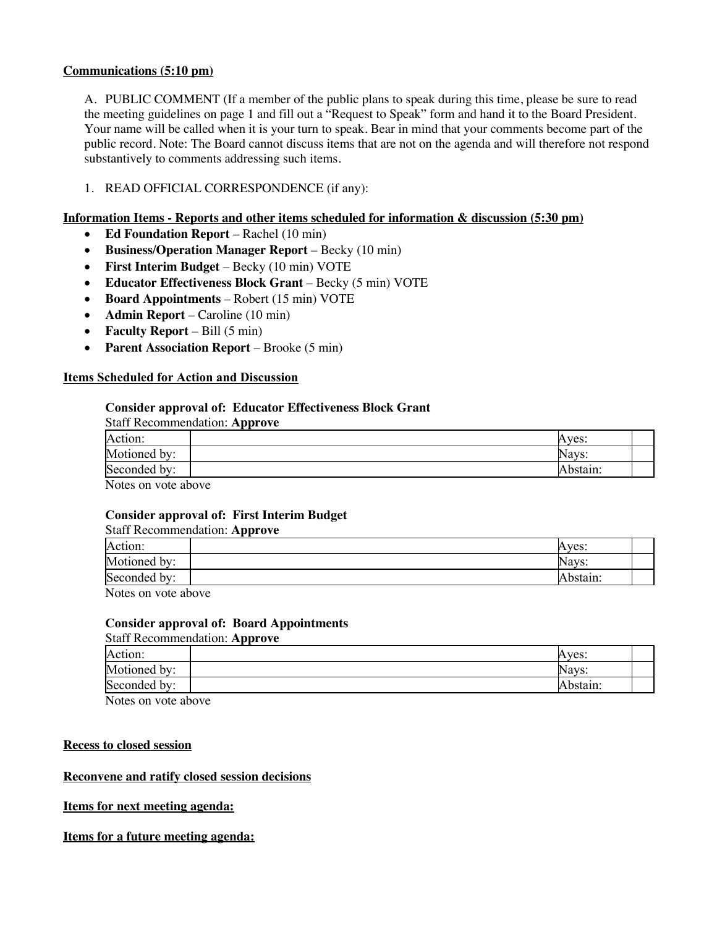## **Communications (5:10 pm)**

A. PUBLIC COMMENT (If a member of the public plans to speak during this time, please be sure to read the meeting guidelines on page 1 and fill out a "Request to Speak" form and hand it to the Board President. Your name will be called when it is your turn to speak. Bear in mind that your comments become part of the public record. Note: The Board cannot discuss items that are not on the agenda and will therefore not respond substantively to comments addressing such items.

## 1. READ OFFICIAL CORRESPONDENCE (if any):

### **Information Items - Reports and other items scheduled for information & discussion (5:30 pm)**

- **Ed Foundation Report** Rachel (10 min)
- **Business/Operation Manager Report** Becky (10 min)
- **First Interim Budget** Becky (10 min) VOTE
- **Educator Effectiveness Block Grant** Becky (5 min) VOTE
- **Board Appointments** Robert (15 min) VOTE
- **Admin Report** Caroline (10 min)
- **Faculty Report** Bill (5 min)
- **Parent Association Report** Brooke (5 min)

#### **Items Scheduled for Action and Discussion**

#### **Consider approval of: Educator Effectiveness Block Grant**

| <b>Staff Recommendation: Approve</b>                                                                                                                                                                                                                                                             |          |
|--------------------------------------------------------------------------------------------------------------------------------------------------------------------------------------------------------------------------------------------------------------------------------------------------|----------|
| Action:                                                                                                                                                                                                                                                                                          | Aves:    |
| Motioned by:                                                                                                                                                                                                                                                                                     | Navs:    |
| Seconded by:                                                                                                                                                                                                                                                                                     | Abstain: |
| $\mathbf{r}$ and $\mathbf{r}$ and $\mathbf{r}$ and $\mathbf{r}$ and $\mathbf{r}$ and $\mathbf{r}$ and $\mathbf{r}$ and $\mathbf{r}$ and $\mathbf{r}$ and $\mathbf{r}$ and $\mathbf{r}$ and $\mathbf{r}$ and $\mathbf{r}$ and $\mathbf{r}$ and $\mathbf{r}$ and $\mathbf{r}$ and $\mathbf{r}$ and |          |

Notes on vote above

#### **Consider approval of: First Interim Budget**

| <b>Staff Recommendation: Approve</b> |          |
|--------------------------------------|----------|
| Action:                              | Aves:    |
| Motioned by:                         | Navs:    |
| Seconded by:                         | Abstain: |
| <b>AT</b>                            |          |

Notes on vote above

#### **Consider approval of: Board Appointments**

Staff Recommendation: **Approve**

| Action:             | Aves:    |  |
|---------------------|----------|--|
| Motioned by:        | Navs:    |  |
| Seconded by:        | Abstaın: |  |
| Notes on vote above |          |  |

Notes on vote above

#### **Recess to closed session**

#### **Reconvene and ratify closed session decisions**

#### **Items for next meeting agenda:**

#### **Items for a future meeting agenda:**